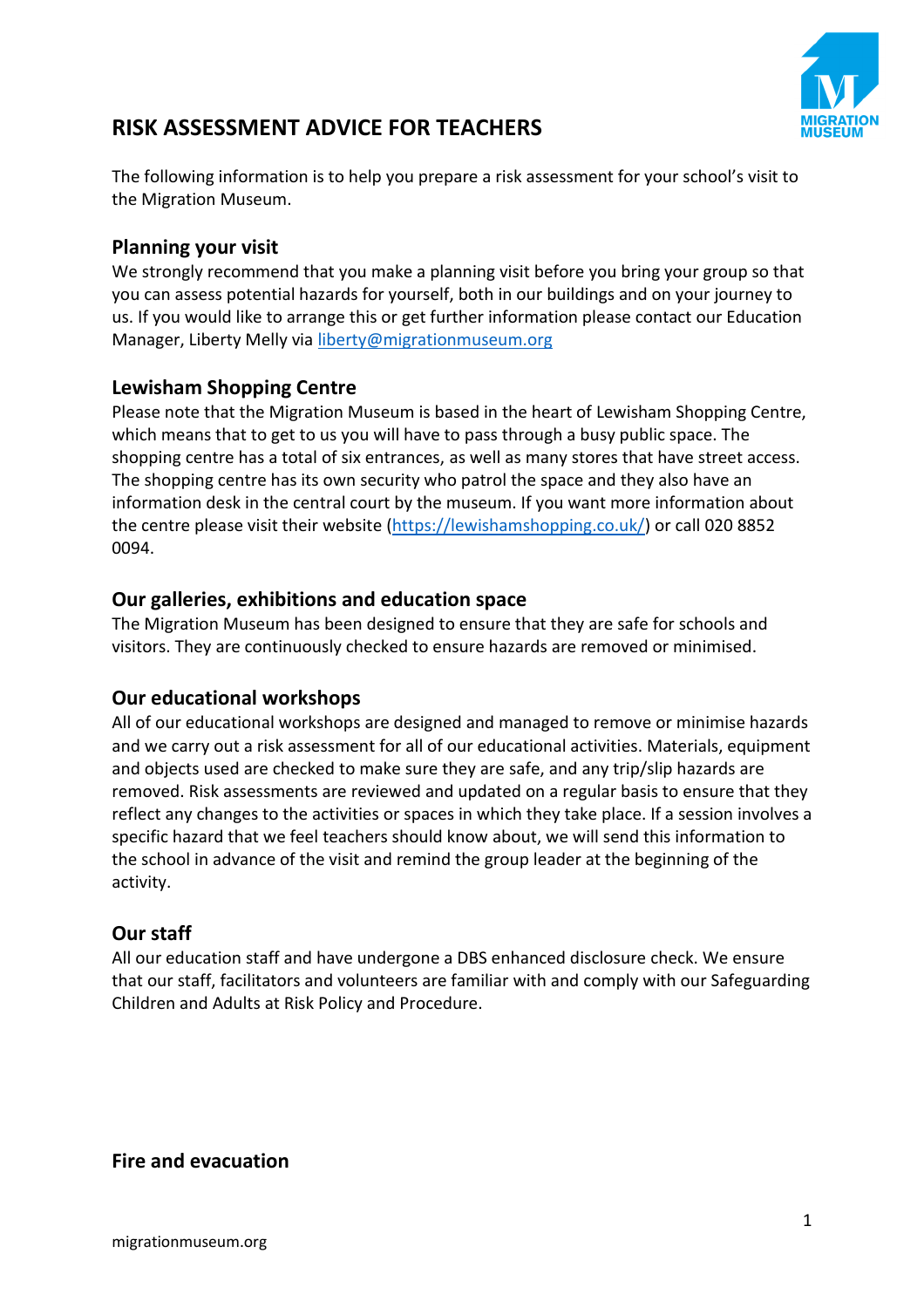

# **RISK ASSESSMENT ADVICE FOR TEACHERS**

The following information is to help you prepare a risk assessment for your school's visit to the Migration Museum.

#### **Planning your visit**

We strongly recommend that you make a planning visit before you bring your group so that you can assess potential hazards for yourself, both in our buildings and on your journey to us. If you would like to arrange this or get further information please contact our Education Manager, Liberty Melly via **liberty@migrationmuseum.org** 

# **Lewisham Shopping Centre**

Please note that the Migration Museum is based in the heart of Lewisham Shopping Centre, which means that to get to us you will have to pass through a busy public space. The shopping centre has a total of six entrances, as well as many stores that have street access. The shopping centre has its own security who patrol the space and they also have an information desk in the central court by the museum. If you want more information about the centre please visit their website [\(https://lewishamshopping.co.uk/\)](https://lewishamshopping.co.uk/) or call 020 8852 0094.

# **Our galleries, exhibitions and education space**

The Migration Museum has been designed to ensure that they are safe for schools and visitors. They are continuously checked to ensure hazards are removed or minimised.

#### **Our educational workshops**

All of our educational workshops are designed and managed to remove or minimise hazards and we carry out a risk assessment for all of our educational activities. Materials, equipment and objects used are checked to make sure they are safe, and any trip/slip hazards are removed. Risk assessments are reviewed and updated on a regular basis to ensure that they reflect any changes to the activities or spaces in which they take place. If a session involves a specific hazard that we feel teachers should know about, we will send this information to the school in advance of the visit and remind the group leader at the beginning of the activity.

# **Our staff**

All our education staff and have undergone a DBS enhanced disclosure check. We ensure that our staff, facilitators and volunteers are familiar with and comply with our Safeguarding Children and Adults at Risk Policy and Procedure.

**Fire and evacuation**